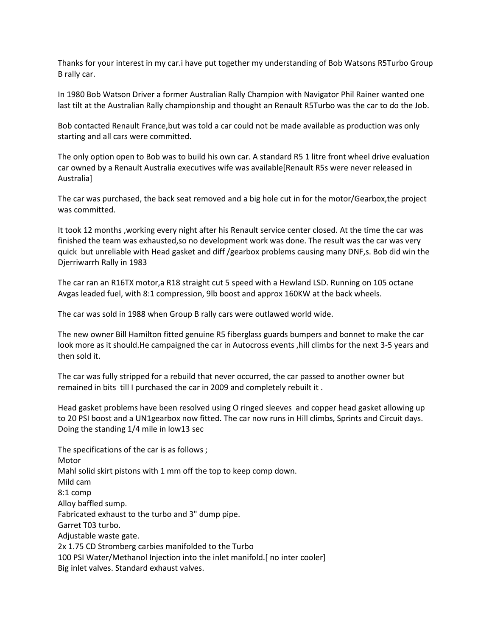Thanks for your interest in my car.i have put together my understanding of Bob Watsons R5Turbo Group B rally car.

In 1980 Bob Watson Driver a former Australian Rally Champion with Navigator Phil Rainer wanted one last tilt at the Australian Rally championship and thought an Renault R5Turbo was the car to do the Job.

Bob contacted Renault France,but was told a car could not be made available as production was only starting and all cars were committed.

The only option open to Bob was to build his own car. A standard R5 1 litre front wheel drive evaluation car owned by a Renault Australia executives wife was available[Renault R5s were never released in Australia]

The car was purchased, the back seat removed and a big hole cut in for the motor/Gearbox,the project was committed.

It took 12 months ,working every night after his Renault service center closed. At the time the car was finished the team was exhausted,so no development work was done. The result was the car was very quick but unreliable with Head gasket and diff /gearbox problems causing many DNF,s. Bob did win the Djerriwarrh Rally in 1983

The car ran an R16TX motor,a R18 straight cut 5 speed with a Hewland LSD. Running on 105 octane Avgas leaded fuel, with 8:1 compression, 9lb boost and approx 160KW at the back wheels.

The car was sold in 1988 when Group B rally cars were outlawed world wide.

The new owner Bill Hamilton fitted genuine R5 fiberglass guards bumpers and bonnet to make the car look more as it should.He campaigned the car in Autocross events ,hill climbs for the next 3-5 years and then sold it.

The car was fully stripped for a rebuild that never occurred, the car passed to another owner but remained in bits till I purchased the car in 2009 and completely rebuilt it .

Head gasket problems have been resolved using O ringed sleeves and copper head gasket allowing up to 20 PSI boost and a UN1gearbox now fitted. The car now runs in Hill climbs, Sprints and Circuit days. Doing the standing 1/4 mile in low13 sec

The specifications of the car is as follows ; Motor Mahl solid skirt pistons with 1 mm off the top to keep comp down. Mild cam 8:1 comp Alloy baffled sump. Fabricated exhaust to the turbo and 3" dump pipe. Garret T03 turbo. Adjustable waste gate. 2x 1.75 CD Stromberg carbies manifolded to the Turbo 100 PSI Water/Methanol Injection into the inlet manifold.[ no inter cooler] Big inlet valves. Standard exhaust valves.